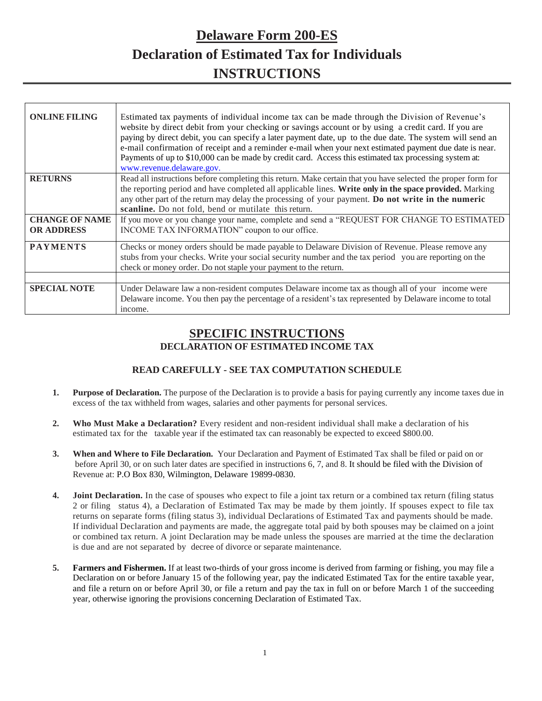# **Delaware Form 200-ES Declaration of Estimated Tax for Individuals INSTRUCTIONS**

| <b>ONLINE FILING</b>                       | Estimated tax payments of individual income tax can be made through the Division of Revenue's<br>website by direct debit from your checking or savings account or by using a credit card. If you are<br>paying by direct debit, you can specify a later payment date, up to the due date. The system will send an<br>e-mail confirmation of receipt and a reminder e-mail when your next estimated payment due date is near.<br>Payments of up to \$10,000 can be made by credit card. Access this estimated tax processing system at:<br>www.revenue.delaware.gov. |
|--------------------------------------------|---------------------------------------------------------------------------------------------------------------------------------------------------------------------------------------------------------------------------------------------------------------------------------------------------------------------------------------------------------------------------------------------------------------------------------------------------------------------------------------------------------------------------------------------------------------------|
| <b>RETURNS</b>                             | Read all instructions before completing this return. Make certain that you have selected the proper form for<br>the reporting period and have completed all applicable lines. Write only in the space provided. Marking<br>any other part of the return may delay the processing of your payment. Do not write in the numeric<br>scanline. Do not fold, bend or mutilate this return.                                                                                                                                                                               |
| <b>CHANGE OF NAME</b><br><b>OR ADDRESS</b> | If you move or you change your name, complete and send a "REQUEST FOR CHANGE TO ESTIMATED<br>INCOME TAX INFORMATION" coupon to our office.                                                                                                                                                                                                                                                                                                                                                                                                                          |
| <b>PAYMENTS</b>                            | Checks or money orders should be made payable to Delaware Division of Revenue. Please remove any<br>stubs from your checks. Write your social security number and the tax period you are reporting on the<br>check or money order. Do not staple your payment to the return.                                                                                                                                                                                                                                                                                        |
|                                            |                                                                                                                                                                                                                                                                                                                                                                                                                                                                                                                                                                     |
| <b>SPECIAL NOTE</b>                        | Under Delaware law a non-resident computes Delaware income tax as though all of your income were<br>Delaware income. You then pay the percentage of a resident's tax represented by Delaware income to total<br>income.                                                                                                                                                                                                                                                                                                                                             |

### **SPECIFIC INSTRUCTIONS DECLARATION OF ESTIMATED INCOME TAX**

#### **READ CAREFULLY - SEE TAX COMPUTATION SCHEDULE**

- **1. Purpose of Declaration.** The purpose of the Declaration is to provide a basis for paying currently any income taxes due in excess of the tax withheld from wages, salaries and other payments for personal services.
- **2. Who Must Make a Declaration?** Every resident and non-resident individual shall make a declaration of his estimated tax for the taxable year if the estimated tax can reasonably be expected to exceed \$800.00.
- **3. When and Where to File Declaration.** Your Declaration and Payment of Estimated Tax shall be filed or paid on or before April 30, or on such later dates are specified in instructions 6, 7, and 8. It should be filed with the Division of Revenue at: P.O Box 830, Wilmington, Delaware 19899-0830.
- **4. Joint Declaration.** In the case of spouses who expect to file a joint tax return or a combined tax return (filing status 2 or filing status 4), a Declaration of Estimated Tax may be made by them jointly. If spouses expect to file tax returns on separate forms (filing status 3), individual Declarations of Estimated Tax and payments should be made. If individual Declaration and payments are made, the aggregate total paid by both spouses may be claimed on a joint or combined tax return. A joint Declaration may be made unless the spouses are married at the time the declaration is due and are not separated by decree of divorce or separate maintenance.
- **5. Farmers and Fishermen.** If at least two-thirds of your gross income is derived from farming or fishing, you may file a Declaration on or before January 15 of the following year, pay the indicated Estimated Tax for the entire taxable year, and file a return on or before April 30, or file a return and pay the tax in full on or before March 1 of the succeeding year, otherwise ignoring the provisions concerning Declaration of Estimated Tax.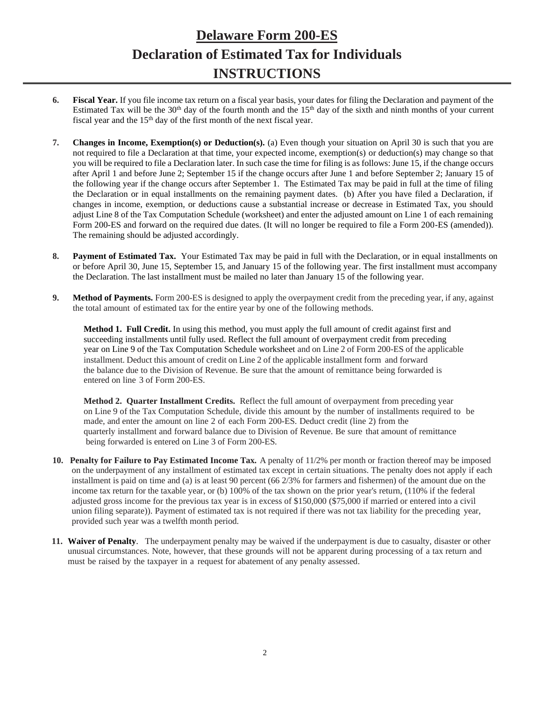## **Delaware Form 200-ES Declaration of Estimated Tax for Individuals INSTRUCTIONS**

- **6. Fiscal Year.** If you file income tax return on a fiscal year basis, your dates for filing the Declaration and payment of the Estimated Tax will be the  $30<sup>th</sup>$  day of the fourth month and the  $15<sup>th</sup>$  day of the sixth and ninth months of your current fiscal year and the  $15<sup>th</sup>$  day of the first month of the next fiscal year.
- **7. Changes in Income, Exemption(s) or Deduction(s).** (a) Even though your situation on April 30 is such that you are not required to file a Declaration at that time, your expected income, exemption(s) or deduction(s) may change so that you will be required to file a Declaration later. In such case the time for filing is as follows: June 15, if the change occurs after April 1 and before June 2; September 15 if the change occurs after June 1 and before September 2; January 15 of the following year if the change occurs after September 1. The Estimated Tax may be paid in full at the time of filing the Declaration or in equal installments on the remaining payment dates. (b) After you have filed a Declaration, if changes in income, exemption, or deductions cause a substantial increase or decrease in Estimated Tax, you should adjust Line 8 of the Tax Computation Schedule (worksheet) and enter the adjusted amount on Line 1 of each remaining Form 200-ES and forward on the required due dates. (It will no longer be required to file a Form 200-ES (amended)). The remaining should be adjusted accordingly.
- **8. Payment of Estimated Tax.** Your Estimated Tax may be paid in full with the Declaration, or in equal installments on or before April 30, June 15, September 15, and January 15 of the following year. The first installment must accompany the Declaration. The last installment must be mailed no later than January 15 of the following year.
- **9. Method of Payments.** Form 200-ES is designed to apply the overpayment credit from the preceding year, if any, against the total amount of estimated tax for the entire year by one of the following methods.

**Method 1. Full Credit.** In using this method, you must apply the full amount of credit against first and succeeding installments until fully used. Reflect the full amount of overpayment credit from preceding year on Line 9 of the Tax Computation Schedule worksheet and on Line 2 of Form 200-ES of the applicable installment. Deduct this amount of credit on Line 2 of the applicable installment form and forward the balance due to the Division of Revenue. Be sure that the amount of remittance being forwarded is entered on line 3 of Form 200-ES.

**Method 2. Quarter Installment Credits.** Reflect the full amount of overpayment from preceding year on Line 9 of the Tax Computation Schedule, divide this amount by the number of installments required to be made, and enter the amount on line 2 of each Form 200-ES. Deduct credit (line 2) from the quarterly installment and forward balance due to Division of Revenue. Be sure that amount of remittance being forwarded is entered on Line 3 of Form 200-ES.

- **10. Penalty for Failure to Pay Estimated Income Tax.** A penalty of 11/2% per month or fraction thereof may be imposed on the underpayment of any installment of estimated tax except in certain situations. The penalty does not apply if each installment is paid on time and (a) is at least 90 percent (66 2/3% for farmers and fishermen) of the amount due on the income tax return for the taxable year, or (b) 100% of the tax shown on the prior year's return, (110% if the federal adjusted gross income for the previous tax year is in excess of \$150,000 (\$75,000 if married or entered into a civil union filing separate)). Payment of estimated tax is not required if there was not tax liability for the preceding year, provided such year was a twelfth month period.
- **11. Waiver of Penalty**. The underpayment penalty may be waived if the underpayment is due to casualty, disaster or other unusual circumstances. Note, however, that these grounds will not be apparent during processing of a tax return and must be raised by the taxpayer in a request for abatement of any penalty assessed.